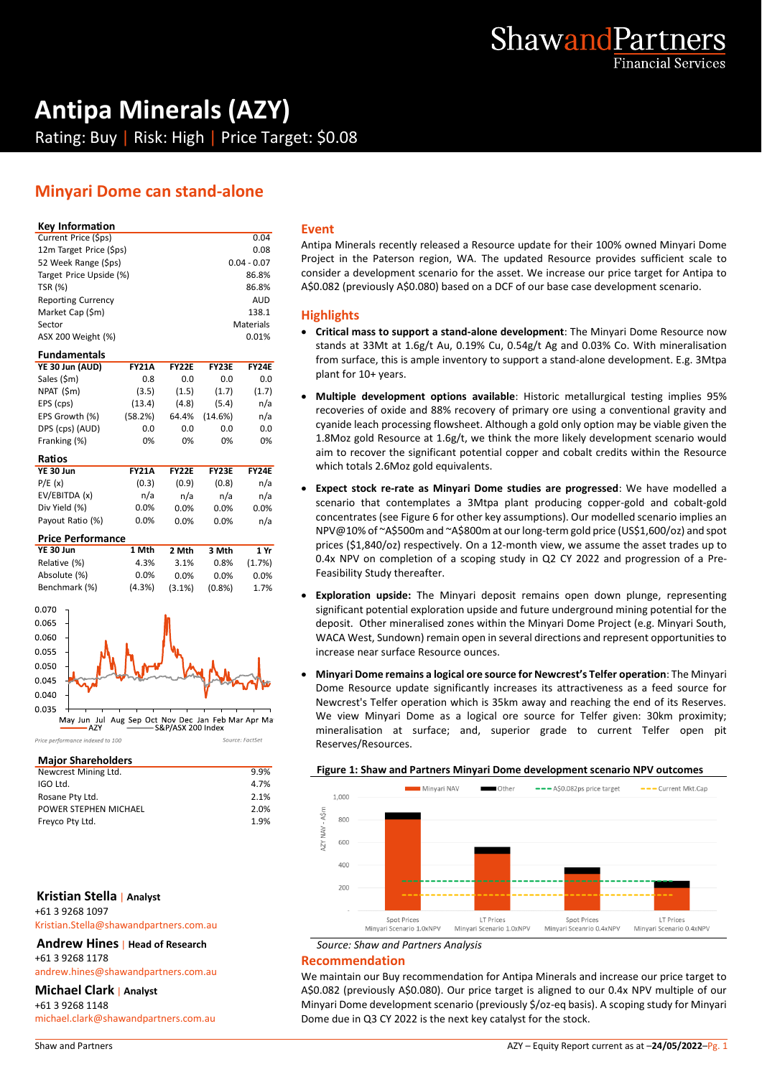

# **Antipa Minerals (AZY)** Rating: Buy | Risk: High | Price Target: \$0.08

# **Minyari Dome can stand-alone**

### **Key Information**

| YE 30 Jun (AUD)           | <b>FY21A</b> | <b>FY22F</b> | <b>FY23E</b> | FY24F         |   |  |
|---------------------------|--------------|--------------|--------------|---------------|---|--|
| <b>Fundamentals</b>       |              |              |              |               |   |  |
| ASX 200 Weight (%)        |              |              |              | 0.01%         |   |  |
| Sector                    |              |              |              | Materials     |   |  |
| Market Cap (\$m)          |              |              |              | 138.1         | ŀ |  |
| <b>Reporting Currency</b> |              |              |              | <b>AUD</b>    |   |  |
| <b>TSR (%)</b>            |              |              |              | 86.8%         | А |  |
| Target Price Upside (%)   |              |              |              | 86.8%         | c |  |
| 52 Week Range (\$ps)      |              |              |              | $0.04 - 0.07$ | Ρ |  |
| 12m Target Price (\$ps)   |              |              |              | 0.08          | А |  |
| Current Price (\$ps)      |              | 0.04         |              |               |   |  |

| Sales (\$m)      | 0.8          | 0.0          | 0.0          | 0.0          |  |
|------------------|--------------|--------------|--------------|--------------|--|
| NPAT (\$m)       | (3.5)        | (1.5)        | (1.7)        | (1.7)        |  |
| EPS (cps)        | (13.4)       | (4.8)        | (5.4)        | n/a          |  |
| EPS Growth (%)   | (58.2%)      | 64.4%        | (14.6%)      | n/a          |  |
| DPS (cps) (AUD)  | 0.0          | 0.0          | 0.0          | 0.0          |  |
| Franking (%)     | 0%           | 0%           | 0%           | 0%           |  |
| Ratios           |              |              |              |              |  |
| <b>YE 30 Jun</b> | <b>FY21A</b> | <b>FY22E</b> | <b>FY23E</b> | <b>FY24E</b> |  |
| P/E(x)           | (0.3)        | (0.9)        | (0.8)        | n/a          |  |

| $\cdot$ $\prime$ $\sim$ $\prime$ | 10.01   | ,,,,,   | $\cdots$ | .    |  |
|----------------------------------|---------|---------|----------|------|--|
| EV/EBITDA (x)                    | n/a     | n/a     | n/a      | n/a  |  |
| Div Yield (%)                    | $0.0\%$ | $0.0\%$ | $0.0\%$  | 0.0% |  |
| Payout Ratio (%)                 | $0.0\%$ | $0.0\%$ | $0.0\%$  | n/a  |  |
|                                  |         |         |          |      |  |

| <b>Price Performance</b> |        |           |           |         |  |  |
|--------------------------|--------|-----------|-----------|---------|--|--|
| YE 30 Jun                | 1 Mth  | 2 Mth     | 3 Mth     | 1 Yr    |  |  |
| Relative (%)             | 4.3%   | 3.1%      | 0.8%      | (1.7%)  |  |  |
| Absolute (%)             | 0.0%   | $0.0\%$   | $0.0\%$   | $0.0\%$ |  |  |
| Benchmark (%)            | (4.3%) | $(3.1\%)$ | $(0.8\%)$ | 1.7%    |  |  |
| - - - -                  |        |           |           |         |  |  |



Source: FactSet

### Price nerformance indexed to 100

| <b>Major Shareholders</b> |      |
|---------------------------|------|
| Newcrest Mining Ltd.      | 9.9% |
| IGO Ltd.                  | 4.7% |
| Rosane Pty Ltd.           | 2.1% |
| POWER STEPHEN MICHAEL     | 2.0% |
| Freyco Pty Ltd.           | 1.9% |

# **Kristian Stella** | **Analyst**

+61 3 9268 1097

Kristian.Stella@shawandpartners.com.au

**Andrew Hines** | **Head of Research** +61 3 9268 1178

andrew.hines@shawandpartners.com.au

### **Michael Clark** | **Analyst**

+61 3 9268 1148 michael.clark@shawandpartners.com.au

### **Event**

Antipa Minerals recently released a Resource update for their 100% owned Minyari Dome Project in the Paterson region, WA. The updated Resource provides sufficient scale to consider a development scenario for the asset. We increase our price target for Antipa to A\$0.082 (previously A\$0.080) based on a DCF of our base case development scenario.

### **Highlights**

- **Critical mass to support a stand-alone development**: The Minyari Dome Resource now stands at 33Mt at 1.6g/t Au, 0.19% Cu, 0.54g/t Ag and 0.03% Co. With mineralisation from surface, this is ample inventory to support a stand-alone development. E.g. 3Mtpa plant for 10+ years.
- **Multiple development options available**: Historic metallurgical testing implies 95% recoveries of oxide and 88% recovery of primary ore using a conventional gravity and cyanide leach processing flowsheet. Although a gold only option may be viable given the 1.8Moz gold Resource at 1.6g/t, we think the more likely development scenario would aim to recover the significant potential copper and cobalt credits within the Resource which totals 2.6Moz gold equivalents.
- **Expect stock re-rate as Minyari Dome studies are progressed**: We have modelled a scenario that contemplates a 3Mtpa plant producing copper-gold and cobalt-gold concentrates (se[e Figure 6](#page-4-0) for other key assumptions). Our modelled scenario implies an NPV@10% of ~A\$500m and ~A\$800m at our long-term gold price (US\$1,600/oz) and spot prices (\$1,840/oz) respectively. On a 12-month view, we assume the asset trades up to 0.4x NPV on completion of a scoping study in Q2 CY 2022 and progression of a Pre-Feasibility Study thereafter.
- **Exploration upside:** The Minyari deposit remains open down plunge, representing significant potential exploration upside and future underground mining potential for the deposit. Other mineralised zones within the Minyari Dome Project (e.g. Minyari South, WACA West, Sundown) remain open in several directions and represent opportunities to increase near surface Resource ounces.
- **Minyari Dome remains a logical ore source for Newcrest's Telfer operation**: The Minyari Dome Resource update significantly increases its attractiveness as a feed source for Newcrest's Telfer operation which is 35km away and reaching the end of its Reserves. We view Minyari Dome as a logical ore source for Telfer given: 30km proximity; mineralisation at surface; and, superior grade to current Telfer open pit Reserves/Resources.

### **Figure 1: Shaw and Partners Minyari Dome development scenario NPV outcomes**



# *Source: Shaw and Partners Analysis*

## **Recommendation**

We maintain our Buy recommendation for Antipa Minerals and increase our price target to A\$0.082 (previously A\$0.080). Our price target is aligned to our 0.4x NPV multiple of our Minyari Dome development scenario (previously \$/oz-eq basis). A scoping study for Minyari Dome due in Q3 CY 2022 is the next key catalyst for the stock.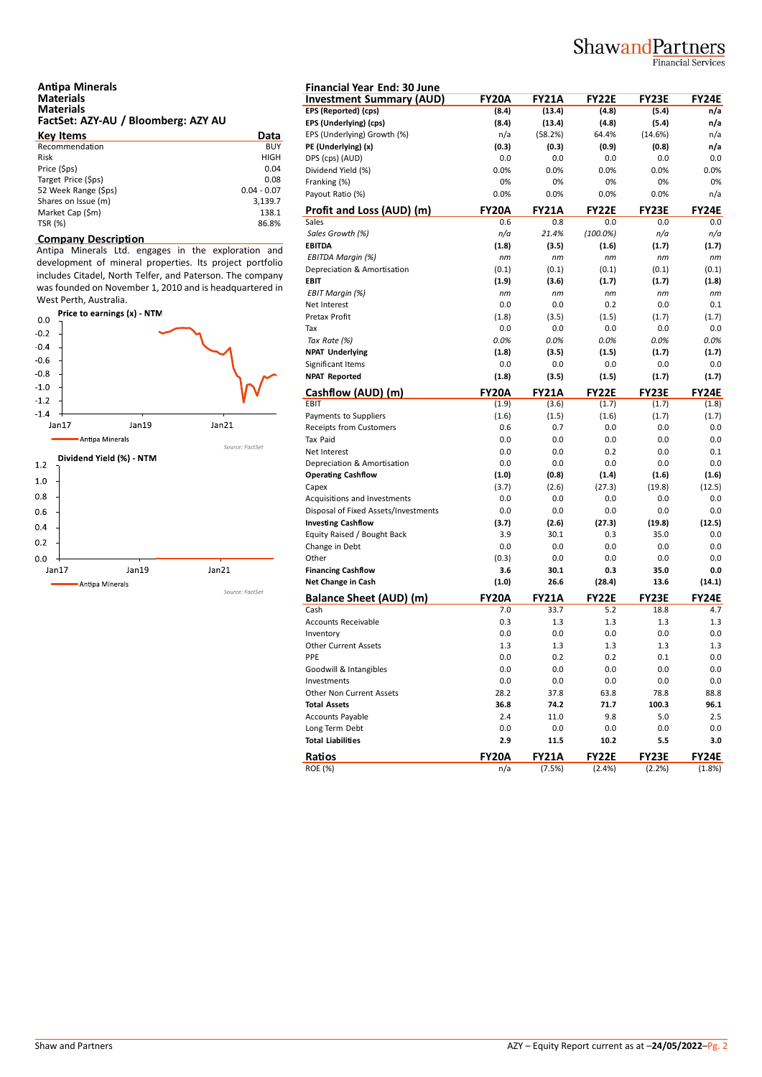# ShawandPartners

Financial Services

| <b>Antipa Minerals</b>              |  |
|-------------------------------------|--|
| <b>Materials</b>                    |  |
| <b>Materials</b>                    |  |
| FactSet: AZY-AU / Bloomberg: AZY AU |  |

| Data          | EP.                            |
|---------------|--------------------------------|
| <b>BUY</b>    | PE                             |
| <b>HIGH</b>   | DP                             |
| 0.04          | Di                             |
| 0.08          | Fra                            |
| $0.04 - 0.07$ | Pa                             |
| 3,139.7       |                                |
| 138.1         | $rac{\mathbf{Pr}}{\mathbf{S}}$ |
| 86.8%         |                                |
|               |                                |

### **Company Description**

Antipa Minerals Ltd. engages in the exploration and development of mineral properties. Its project portfolio includes Citadel, North Telfer, and Paterson. The company was founded on November 1, 2010 and is headquartered in West Perth, Australia.<br>Price to earnings (x) - NTM



| <b>Financial Year End: 30 June</b>                                   |              |              |                    |              |              |
|----------------------------------------------------------------------|--------------|--------------|--------------------|--------------|--------------|
| <b>Investment Summary (AUD)</b>                                      | <b>FY20A</b> | <b>FY21A</b> | <b>FY22E</b>       | <b>FY23E</b> | FY24E        |
| EPS (Reported) (cps)                                                 | (8.4)        | (13.4)       | (4.8)              | (5.4)        | n/a          |
| EPS (Underlying) (cps)                                               | (8.4)        | (13.4)       | (4.8)              | (5.4)        | n/a          |
| EPS (Underlying) Growth (%)                                          | n/a          | (58.2%)      | 64.4%              | (14.6%)      | n/a          |
| PE (Underlying) (x)                                                  | (0.3)        | (0.3)        | (0.9)              | (0.8)        | n/a          |
| DPS (cps) (AUD)                                                      | 0.0          | 0.0          | 0.0                | 0.0          | 0.0          |
| Dividend Yield (%)                                                   | 0.0%         | 0.0%         | 0.0%               | 0.0%         | 0.0%         |
| Franking (%)                                                         | 0%           | 0%           | 0%                 | 0%           | 0%           |
| Payout Ratio (%)                                                     | 0.0%         | 0.0%         | 0.0%               | 0.0%         | n/a          |
| Profit and Loss (AUD) (m)<br>Sales                                   | <b>FY20A</b> | <b>FY21A</b> | <b>FY22E</b>       | <b>FY23E</b> | <b>FY24E</b> |
|                                                                      | 0.6<br>n/a   | 0.8<br>21.4% | 0.0<br>$(100.0\%)$ | 0.0<br>n/a   | 0.0<br>n/a   |
| Sales Growth (%)<br><b>EBITDA</b>                                    |              |              |                    | (1.7)        | (1.7)        |
| EBITDA Margin (%)                                                    | (1.8)<br>nm  | (3.5)<br>nm  | (1.6)<br>nm        | nm           | nm           |
| Depreciation & Amortisation                                          | (0.1)        | (0.1)        | (0.1)              | (0.1)        | (0.1)        |
| <b>EBIT</b>                                                          | (1.9)        | (3.6)        | (1.7)              | (1.7)        | (1.8)        |
| <b>EBIT Margin (%)</b>                                               | nm           | nm           | пm                 | nm           | пm           |
| Net Interest                                                         | 0.0          | 0.0          | 0.2                | 0.0          | 0.1          |
| Pretax Profit                                                        | (1.8)        | (3.5)        | (1.5)              | (1.7)        | (1.7)        |
| Tax                                                                  | 0.0          | 0.0          | 0.0                | 0.0          | 0.0          |
| Tax Rate (%)                                                         | 0.0%         | 0.0%         | 0.0%               | 0.0%         | 0.0%         |
| <b>NPAT Underlying</b>                                               | (1.8)        | (3.5)        | (1.5)              | (1.7)        | (1.7)        |
| Significant Items                                                    | 0.0          | 0.0          | 0.0                | 0.0          | 0.0          |
| <b>NPAT Reported</b>                                                 | (1.8)        | (3.5)        | (1.5)              | (1.7)        | (1.7)        |
| Cashflow (AUD) (m)                                                   | <b>FY20A</b> | <b>FY21A</b> | <b>FY22E</b>       | <b>FY23E</b> | <b>FY24E</b> |
| EBIT                                                                 | (1.9)        | (3.6)        | (1.7)              | (1.7)        | (1.8)        |
| Payments to Suppliers                                                | (1.6)        | (1.5)        | (1.6)              | (1.7)        | (1.7)        |
| <b>Receipts from Customers</b>                                       | 0.6          | 0.7          | 0.0                | 0.0          | 0.0          |
| <b>Tax Paid</b>                                                      | 0.0          | 0.0          | 0.0                | 0.0          | 0.0          |
| Net Interest                                                         | 0.0          | 0.0          | 0.2                | 0.0          | 0.1          |
| Depreciation & Amortisation                                          | 0.0          | 0.0          | 0.0                | 0.0          | 0.0          |
| <b>Operating Cashflow</b>                                            | (1.0)        | (0.8)        | (1.4)              | (1.6)        | (1.6)        |
| Capex                                                                | (3.7)        | (2.6)        | (27.3)             | (19.8)       | (12.5)       |
| Acquisitions and Investments<br>Disposal of Fixed Assets/Investments | 0.0<br>0.0   | 0.0<br>0.0   | 0.0<br>0.0         | 0.0<br>0.0   | 0.0<br>0.0   |
| <b>Investing Cashflow</b>                                            | (3.7)        | (2.6)        | (27.3)             | (19.8)       | (12.5)       |
| Equity Raised / Bought Back                                          | 3.9          | 30.1         | 0.3                | 35.0         | 0.0          |
| Change in Debt                                                       | 0.0          | 0.0          | 0.0                | 0.0          | 0.0          |
| Other                                                                | (0.3)        | 0.0          | 0.0                | 0.0          | 0.0          |
| <b>Financing Cashflow</b>                                            | 3.6          | 30.1         | 0.3                | 35.0         | 0.0          |
| Net Change in Cash                                                   | (1.0)        | 26.6         | (28.4)             | 13.6         | (14.1)       |
| <b>Balance Sheet (AUD) (m)</b>                                       | <b>FY20A</b> | <b>FY21A</b> | <b>FY22E</b>       | <b>FY23E</b> | FY24E        |
| Cash                                                                 | 7.0          | 33.7         | 5.2                | 18.8         | 4.7          |
| <b>Accounts Receivable</b>                                           | 0.3          | 1.3          | 1.3                | 1.3          | 1.3          |
| Inventory                                                            | 0.0          | 0.0          | 0.0                | 0.0          | 0.0          |
| <b>Other Current Assets</b>                                          | 1.3          | 1.3          | 1.3                | 1.3          | 1.3          |
| PPE                                                                  | 0.0          | 0.2          | 0.2                | 0.1          | 0.0          |
| Goodwill & Intangibles                                               | 0.0          | 0.0          | 0.0                | 0.0          | 0.0          |
| Investments                                                          | 0.0          | 0.0          | $0.0\,$            | 0.0          | 0.0          |
| Other Non Current Assets                                             | 28.2         | 37.8         | 63.8               | 78.8         | 88.8         |
| <b>Total Assets</b>                                                  | 36.8         | 74.2         | 71.7               | 100.3        | 96.1         |
| Accounts Payable                                                     | 2.4          | 11.0         | 9.8                | 5.0          | 2.5          |
| Long Term Debt                                                       | 0.0          | 0.0          | 0.0                | 0.0          | 0.0          |
| <b>Total Liabilities</b>                                             | 2.9          | 11.5         | 10.2               | 5.5          | 3.0          |
| Ratios                                                               | FY20A        | <b>FY21A</b> | FY22E              | FY23E        | FY24E        |
| <b>ROE</b> (%)                                                       | n/a          | (7.5%)       | (2.4%)             | (2.2%)       | (1.8%)       |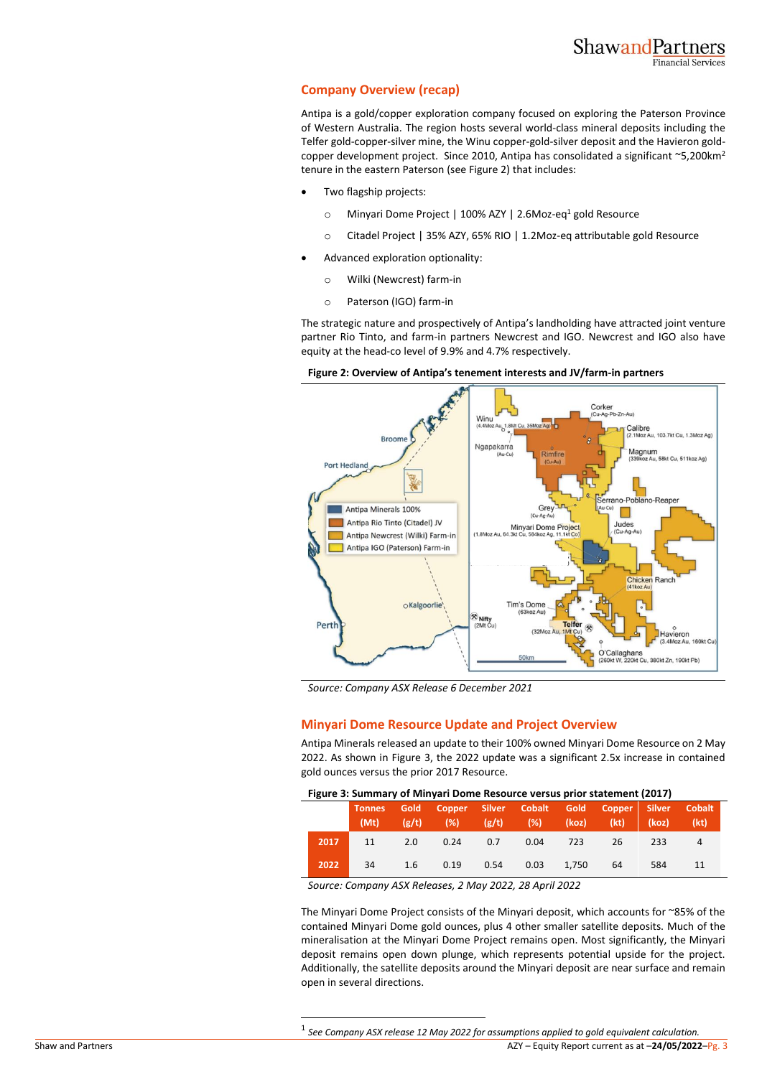# **Company Overview (recap)**

Antipa is a gold/copper exploration company focused on exploring the Paterson Province of Western Australia. The region hosts several world-class mineral deposits including the Telfer gold-copper-silver mine, the Winu copper-gold-silver deposit and the Havieron goldcopper development project. Since 2010, Antipa has consolidated a significant  $\sim$ 5,200km<sup>2</sup> tenure in the eastern Paterson (se[e Figure 2\)](#page-2-0) that includes:

- Two flagship projects:
	- o Minyari Dome Project | 100% AZY | 2.6Moz-eq<sup>1</sup> gold Resource
	- o Citadel Project | 35% AZY, 65% RIO | 1.2Moz-eq attributable gold Resource
- Advanced exploration optionality:
	- o Wilki (Newcrest) farm-in
	- o Paterson (IGO) farm-in

The strategic nature and prospectively of Antipa's landholding have attracted joint venture partner Rio Tinto, and farm-in partners Newcrest and IGO. Newcrest and IGO also have equity at the head-co level of 9.9% and 4.7% respectively.



<span id="page-2-0"></span>**Figure 2: Overview of Antipa's tenement interests and JV/farm-in partners**

*Source: Company ASX Release 6 December 2021*

# **Minyari Dome Resource Update and Project Overview**

Antipa Minerals released an update to their 100% owned Minyari Dome Resource on 2 May 2022. As shown in [Figure 3,](#page-2-1) the 2022 update was a significant 2.5x increase in contained gold ounces versus the prior 2017 Resource.

### <span id="page-2-1"></span>**Figure 3: Summary of Minyari Dome Resource versus prior statement (2017)**

|      |    |     | Tonnes Gold Copper Silver Cobalt Gold Copper Silver Cobalt<br>(Mt) (g/t) (%) (g/t) (%) (koz) (kt) (koz) (kt) |      |          |       |    |     |  |
|------|----|-----|--------------------------------------------------------------------------------------------------------------|------|----------|-------|----|-----|--|
| 2017 | 11 | 2.0 | 0.24                                                                                                         | 0.7  | 0.04 723 |       | 26 | 233 |  |
| 2022 | 34 | 1.6 | 0.19                                                                                                         | 0.54 | 0.03     | 1,750 | 64 | 584 |  |

*Source: Company ASX Releases, 2 May 2022, 28 April 2022*

The Minyari Dome Project consists of the Minyari deposit, which accounts for ~85% of the contained Minyari Dome gold ounces, plus 4 other smaller satellite deposits. Much of the mineralisation at the Minyari Dome Project remains open. Most significantly, the Minyari deposit remains open down plunge, which represents potential upside for the project. Additionally, the satellite deposits around the Minyari deposit are near surface and remain open in several directions.

Shaw and Partners AZY – Equity Report current as at –**24/05/2022**–Pg. 3 1 *See Company ASX release 12 May 2022 for assumptions applied to gold equivalent calculation.*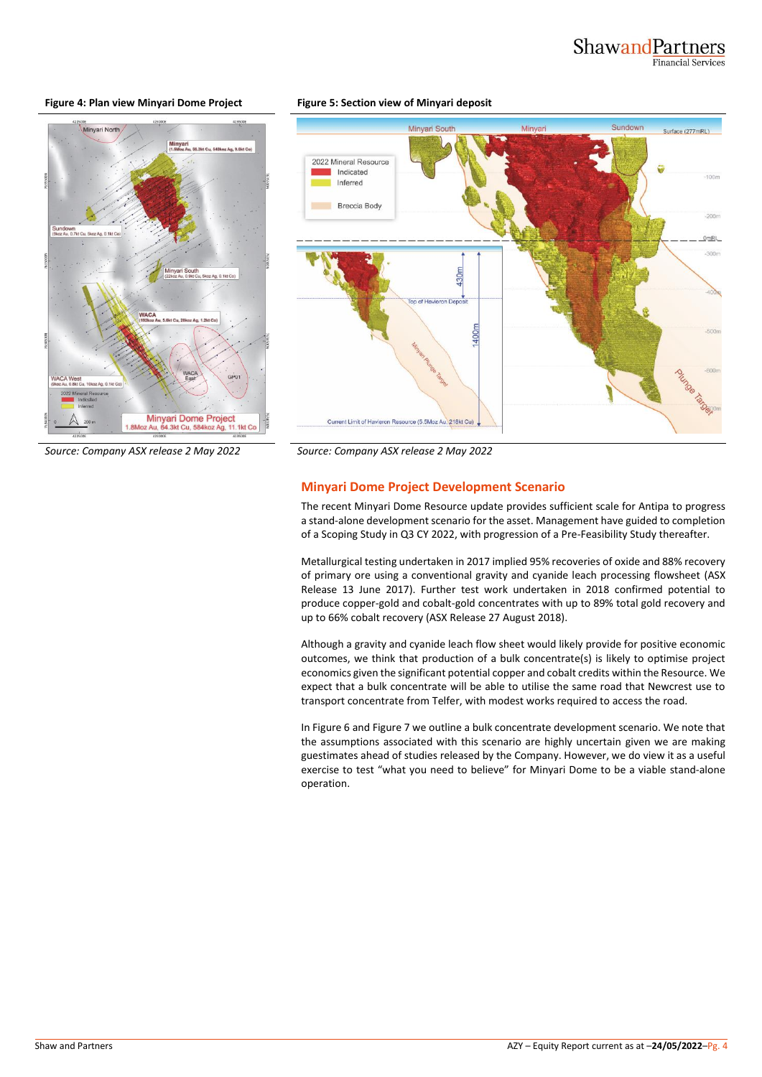## **Figure 4: Plan view Minyari Dome Project Figure 5: Section view of Minyari deposit**





*Source: Company ASX release 2 May 2022 Source: Company ASX release 2 May 2022*

# **Minyari Dome Project Development Scenario**

The recent Minyari Dome Resource update provides sufficient scale for Antipa to progress a stand-alone development scenario for the asset. Management have guided to completion of a Scoping Study in Q3 CY 2022, with progression of a Pre-Feasibility Study thereafter.

Metallurgical testing undertaken in 2017 implied 95% recoveries of oxide and 88% recovery of primary ore using a conventional gravity and cyanide leach processing flowsheet (ASX Release 13 June 2017). Further test work undertaken in 2018 confirmed potential to produce copper-gold and cobalt-gold concentrates with up to 89% total gold recovery and up to 66% cobalt recovery (ASX Release 27 August 2018).

Although a gravity and cyanide leach flow sheet would likely provide for positive economic outcomes, we think that production of a bulk concentrate(s) is likely to optimise project economics given the significant potential copper and cobalt credits within the Resource. We expect that a bulk concentrate will be able to utilise the same road that Newcrest use to transport concentrate from Telfer, with modest works required to access the road.

In [Figure 6](#page-4-0) an[d Figure 7](#page-4-1) we outline a bulk concentrate development scenario. We note that the assumptions associated with this scenario are highly uncertain given we are making guestimates ahead of studies released by the Company. However, we do view it as a useful exercise to test "what you need to believe" for Minyari Dome to be a viable stand-alone operation.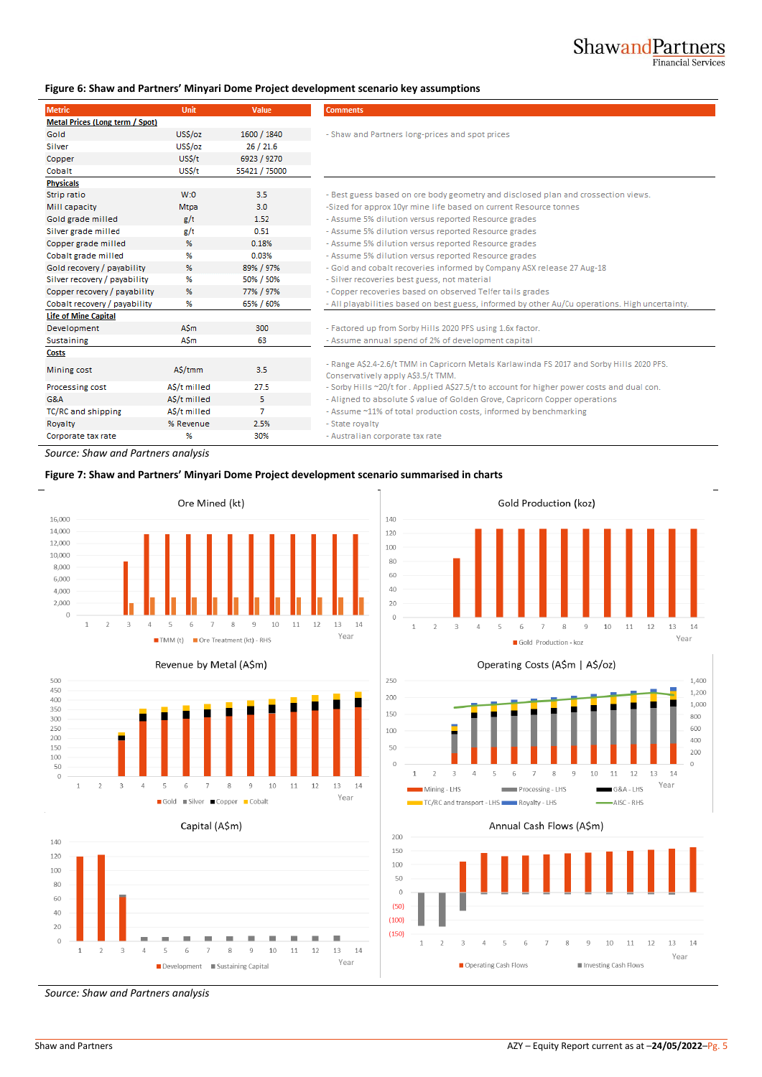$13 - 14$ 

Year

# <span id="page-4-0"></span>**Figure 6: Shaw and Partners' Minyari Dome Project development scenario key assumptions**

| <b>Metric</b>                   | <b>Unit</b>  | Value         | <b>Comments</b>                                                                                                                 |
|---------------------------------|--------------|---------------|---------------------------------------------------------------------------------------------------------------------------------|
| Metal Prices (Long term / Spot) |              |               |                                                                                                                                 |
| Gold                            | US\$/oz      | 1600 / 1840   | - Shaw and Partners long-prices and spot prices                                                                                 |
| Silver                          | US\$/oz      | 26/21.6       |                                                                                                                                 |
| Copper                          | US\$/t       | 6923 / 9270   |                                                                                                                                 |
| Cobalt                          | US\$/t       | 55421 / 75000 |                                                                                                                                 |
| <b>Physicals</b>                |              |               |                                                                                                                                 |
| Strip ratio                     | W:O          | 3.5           | - Best guess based on ore body geometry and disclosed plan and crossection views.                                               |
| Mill capacity                   | Mtpa         | 3.0           | -Sized for approx 10yr mine life based on current Resource tonnes                                                               |
| Gold grade milled               | g/t          | 1.52          | - Assume 5% dilution versus reported Resource grades                                                                            |
| Silver grade milled             | g/t          | 0.51          | - Assume 5% dilution versus reported Resource grades                                                                            |
| Copper grade milled             | %            | 0.18%         | - Assume 5% dilution versus reported Resource grades                                                                            |
| Cobalt grade milled             | %            | 0.03%         | - Assume 5% dilution versus reported Resource grades                                                                            |
| Gold recovery / payability      | %            | 89% / 97%     | - Gold and cobalt recoveries informed by Company ASX release 27 Aug-18                                                          |
| Silver recovery / payability    | %            | 50% / 50%     | - Silver recoveries best guess, not material                                                                                    |
| Copper recovery / payability    | %            | 77% / 97%     | - Copper recoveries based on observed Telfer tails grades                                                                       |
| Cobalt recovery / payability    | %            | 65% / 60%     | - All playabilities based on best guess, informed by other Au/Cu operations. High uncertainty.                                  |
| <b>Life of Mine Capital</b>     |              |               |                                                                                                                                 |
| Development                     | <b>ASm</b>   | 300           | - Factored up from Sorby Hills 2020 PFS using 1.6x factor.                                                                      |
| <b>Sustaining</b>               | ASm          | 63            | - Assume annual spend of 2% of development capital                                                                              |
| <b>Costs</b>                    |              |               |                                                                                                                                 |
| Mining cost                     | A\$/tmm      | 3.5           | - Range A\$2.4-2.6/t TMM in Capricorn Metals Karlawinda FS 2017 and Sorby Hills 2020 PFS.<br>Conservatively apply A\$3.5/t TMM. |
| Processing cost                 | A\$/t milled | 27.5          | - Sorby Hills ~20/t for . Applied A\$27.5/t to account for higher power costs and dual con.                                     |
| <b>G&amp;A</b>                  | A\$/t milled | 5.            | - Aligned to absolute \$ value of Golden Grove, Capricorn Copper operations                                                     |
| TC/RC and shipping              | AS/t milled  | 7             | - Assume ~11% of total production costs, informed by benchmarking                                                               |
| Royalty                         | % Revenue    | 2.5%          | - State royalty                                                                                                                 |
| Corporate tax rate              | %            | 30%           | - Australian corporate tax rate                                                                                                 |

 $\begin{array}{c} \n\end{array}$ 

 $\overline{1}$  $\overline{z}$  $\overline{3}$  $\overline{4}$  $\overline{5}$ 6  $\overline{7}$  $\mathbf{g}$  $\overline{9}$  $10<sup>1</sup>$  $11$  $12$ 

*Source: Shaw and Partners analysis*

## <span id="page-4-1"></span>**Figure 7: Shaw and Partners' Minyari Dome Project development scenario summarised in charts**







Development Sustaining Capital

8  $\overline{9}$  10  $11$ 12  $13\,$ 14

Year



Gold Production - koz

Gold Production (koz)



Annual Cash Flows (A\$m)



*Source: Shaw and Partners analysis*

 $\overline{5}$ 6

 $\,1\,$  $\overline{2}$  $\overline{\mathbf{3}}$  $\overline{4}$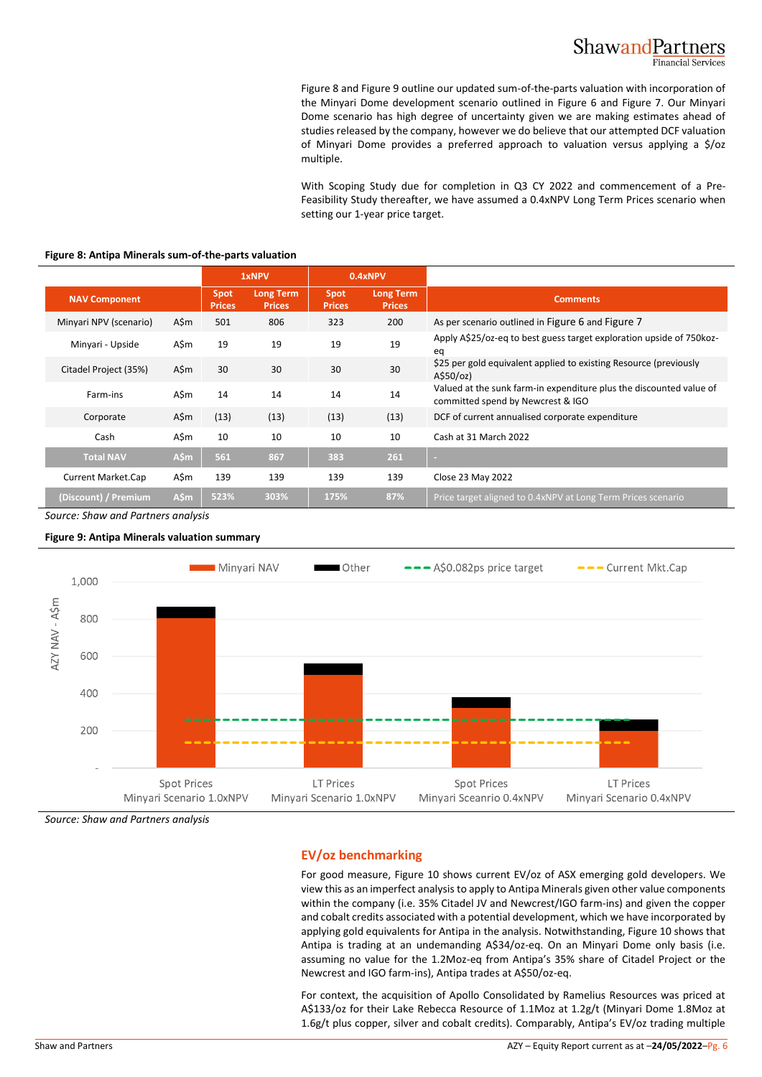Figure 8 an[d Figure 9](#page-5-1) outline our updated sum-of-the-parts valuation with incorporation of [the Miny](#page-5-0)ari Dome development scenario outlined in [Figure 6](#page-4-0) and [Figure 7.](#page-4-1) Our Minyari Dome scenario has high degree of uncertainty given we are making estimates ahead of studies released by the company, however we do believe that our attempted DCF valuation of Minyari Dome provides a preferred approach to valuation versus applying a \$/oz multiple.

With Scoping Study due for completion in Q3 CY 2022 and commencement of a Pre-Feasibility Study thereafter, we have assumed a 0.4xNPV Long Term Prices scenario when setting our 1-year price target.

|                        |      |                       | 1xNPV                             |                       | 0.4xNPV                           |                                                                                                          |
|------------------------|------|-----------------------|-----------------------------------|-----------------------|-----------------------------------|----------------------------------------------------------------------------------------------------------|
| <b>NAV Component</b>   |      | Spot<br><b>Prices</b> | <b>Long Term</b><br><b>Prices</b> | Spot<br><b>Prices</b> | <b>Long Term</b><br><b>Prices</b> | <b>Comments</b>                                                                                          |
| Minyari NPV (scenario) | A\$m | 501                   | 806                               | 323                   | 200                               | As per scenario outlined in Figure 6 and Figure 7                                                        |
| Minyari - Upside       | A\$m | 19                    | 19                                | 19                    | 19                                | Apply A\$25/oz-eq to best guess target exploration upside of 750 koz-<br>eq                              |
| Citadel Project (35%)  | A\$m | 30                    | 30                                | 30                    | 30                                | \$25 per gold equivalent applied to existing Resource (previously<br>A\$50/oz)                           |
| Farm-ins               | A\$m | 14                    | 14                                | 14                    | 14                                | Valued at the sunk farm-in expenditure plus the discounted value of<br>committed spend by Newcrest & IGO |
| Corporate              | A\$m | (13)                  | (13)                              | (13)                  | (13)                              | DCF of current annualised corporate expenditure                                                          |
| Cash                   | A\$m | 10                    | 10                                | 10                    | 10                                | Cash at 31 March 2022                                                                                    |
| <b>Total NAV</b>       | A\$m | 561                   | 867                               | 383                   | 261                               | $\sim$                                                                                                   |
| Current Market.Cap     | A\$m | 139                   | 139                               | 139                   | 139                               | Close 23 May 2022                                                                                        |
| (Discount) / Premium   | A\$m | 523%                  | 303%                              | 175%                  | 87%                               | Price target aligned to 0.4xNPV at Long Term Prices scenario                                             |

### <span id="page-5-0"></span>**Figure 8: Antipa Minerals sum-of-the-parts valuation**

*Source: Shaw and Partners analysis*

<span id="page-5-1"></span>**Figure 9: Antipa Minerals valuation summary**



*Source: Shaw and Partners analysis*

# **EV/oz benchmarking**

For good measure, [Figure 10](#page-6-0) shows current EV/oz of ASX emerging gold developers. We view this as an imperfect analysis to apply to Antipa Minerals given other value components within the company (i.e. 35% Citadel JV and Newcrest/IGO farm-ins) and given the copper and cobalt credits associated with a potential development, which we have incorporated by applying gold equivalents for Antipa in the analysis. Notwithstanding, [Figure 10](#page-6-0) shows that Antipa is trading at an undemanding A\$34/oz-eq. On an Minyari Dome only basis (i.e. assuming no value for the 1.2Moz-eq from Antipa's 35% share of Citadel Project or the Newcrest and IGO farm-ins), Antipa trades at A\$50/oz-eq.

For context, the acquisition of Apollo Consolidated by Ramelius Resources was priced at A\$133/oz for their Lake Rebecca Resource of 1.1Moz at 1.2g/t (Minyari Dome 1.8Moz at 1.6g/t plus copper, silver and cobalt credits). Comparably, Antipa's EV/oz trading multiple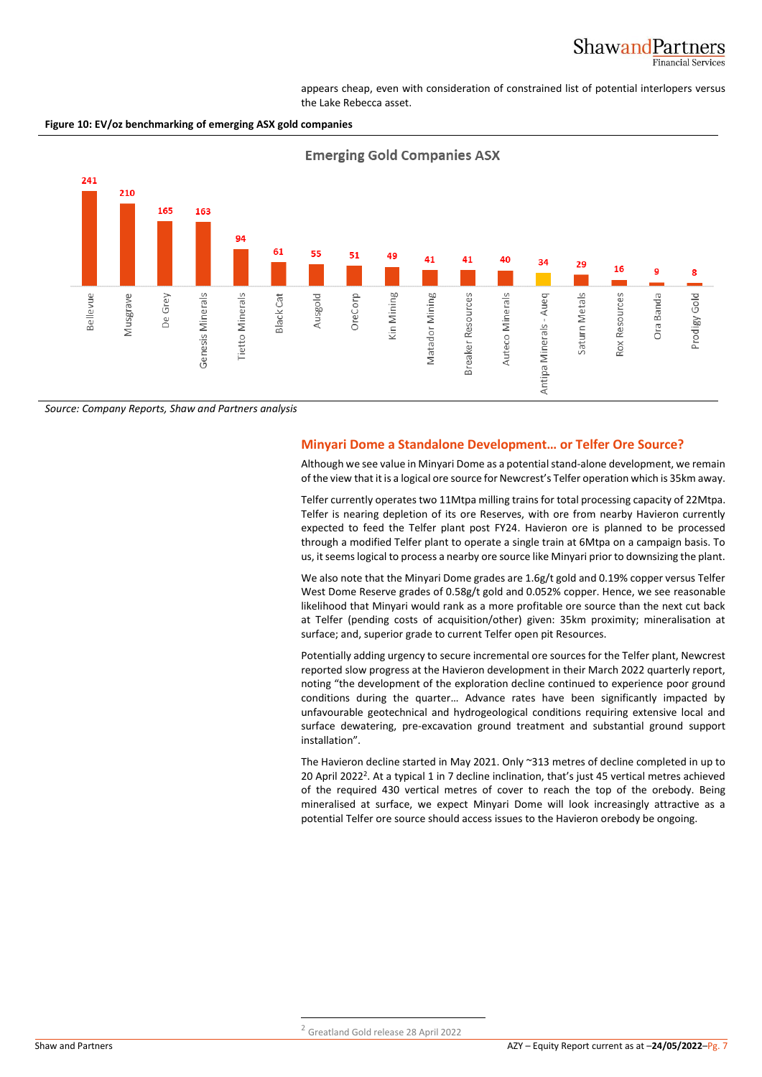appears cheap, even with consideration of constrained list of potential interlopers versus the Lake Rebecca asset.

<span id="page-6-0"></span>



*Source: Company Reports, Shaw and Partners analysis*

# **Minyari Dome a Standalone Development… or Telfer Ore Source?**

Although we see value in Minyari Dome as a potential stand-alone development, we remain of the view that it is a logical ore source for Newcrest's Telfer operation which is 35km away.

Telfer currently operates two 11Mtpa milling trains for total processing capacity of 22Mtpa. Telfer is nearing depletion of its ore Reserves, with ore from nearby Havieron currently expected to feed the Telfer plant post FY24. Havieron ore is planned to be processed through a modified Telfer plant to operate a single train at 6Mtpa on a campaign basis. To us, it seems logical to process a nearby ore source like Minyari prior to downsizing the plant.

We also note that the Minyari Dome grades are 1.6g/t gold and 0.19% copper versus Telfer West Dome Reserve grades of 0.58g/t gold and 0.052% copper. Hence, we see reasonable likelihood that Minyari would rank as a more profitable ore source than the next cut back at Telfer (pending costs of acquisition/other) given: 35km proximity; mineralisation at surface; and, superior grade to current Telfer open pit Resources.

Potentially adding urgency to secure incremental ore sources for the Telfer plant, Newcrest reported slow progress at the Havieron development in their March 2022 quarterly report, noting "the development of the exploration decline continued to experience poor ground conditions during the quarter… Advance rates have been significantly impacted by unfavourable geotechnical and hydrogeological conditions requiring extensive local and surface dewatering, pre-excavation ground treatment and substantial ground support installation".

The Havieron decline started in May 2021. Only ~313 metres of decline completed in up to 20 April 2022<sup>2</sup>. At a typical 1 in 7 decline inclination, that's just 45 vertical metres achieved of the required 430 vertical metres of cover to reach the top of the orebody. Being mineralised at surface, we expect Minyari Dome will look increasingly attractive as a potential Telfer ore source should access issues to the Havieron orebody be ongoing.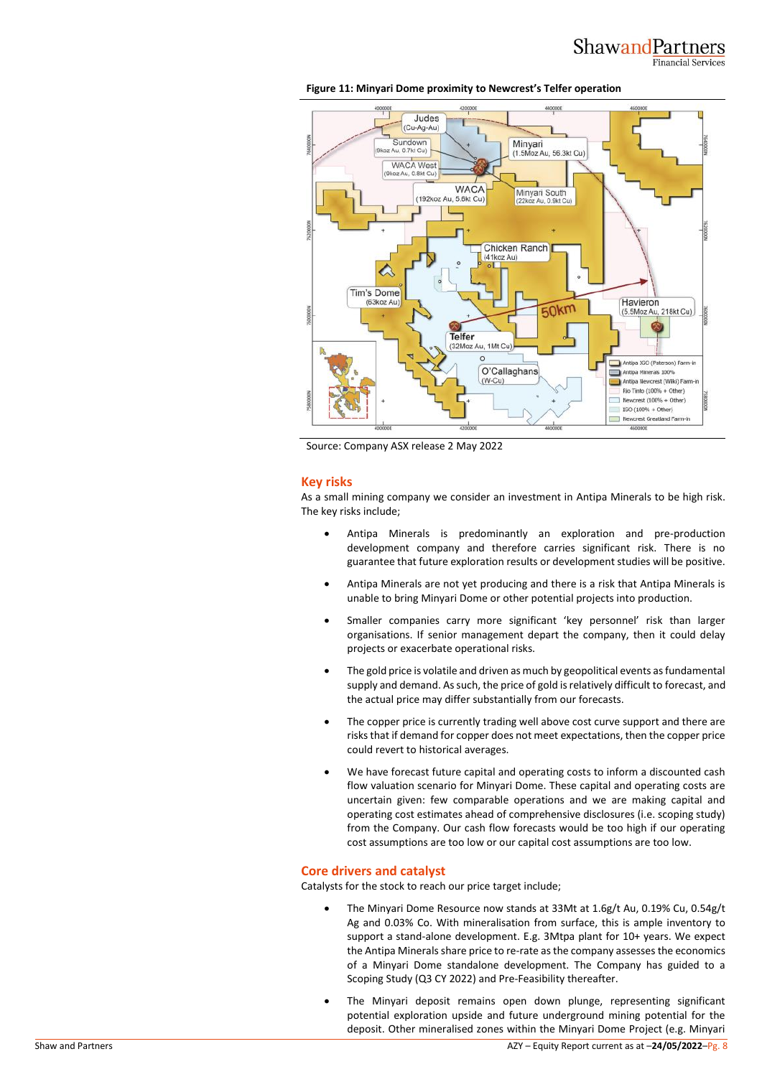

**Figure 11: Minyari Dome proximity to Newcrest's Telfer operation**

Source: Company ASX release 2 May 2022

# **Key risks**

As a small mining company we consider an investment in Antipa Minerals to be high risk. The key risks include;

- Antipa Minerals is predominantly an exploration and pre-production development company and therefore carries significant risk. There is no guarantee that future exploration results or development studies will be positive.
- Antipa Minerals are not yet producing and there is a risk that Antipa Minerals is unable to bring Minyari Dome or other potential projects into production.
- Smaller companies carry more significant 'key personnel' risk than larger organisations. If senior management depart the company, then it could delay projects or exacerbate operational risks.
- The gold price is volatile and driven as much by geopolitical events as fundamental supply and demand. As such, the price of gold is relatively difficult to forecast, and the actual price may differ substantially from our forecasts.
- The copper price is currently trading well above cost curve support and there are risks that if demand for copper does not meet expectations, then the copper price could revert to historical averages.
- We have forecast future capital and operating costs to inform a discounted cash flow valuation scenario for Minyari Dome. These capital and operating costs are uncertain given: few comparable operations and we are making capital and operating cost estimates ahead of comprehensive disclosures (i.e. scoping study) from the Company. Our cash flow forecasts would be too high if our operating cost assumptions are too low or our capital cost assumptions are too low.

## **Core drivers and catalyst**

Catalysts for the stock to reach our price target include;

- The Minyari Dome Resource now stands at 33Mt at 1.6g/t Au, 0.19% Cu, 0.54g/t Ag and 0.03% Co. With mineralisation from surface, this is ample inventory to support a stand-alone development. E.g. 3Mtpa plant for 10+ years. We expect the Antipa Minerals share price to re-rate as the company assesses the economics of a Minyari Dome standalone development. The Company has guided to a Scoping Study (Q3 CY 2022) and Pre-Feasibility thereafter.
- The Minyari deposit remains open down plunge, representing significant potential exploration upside and future underground mining potential for the deposit. Other mineralised zones within the Minyari Dome Project (e.g. Minyari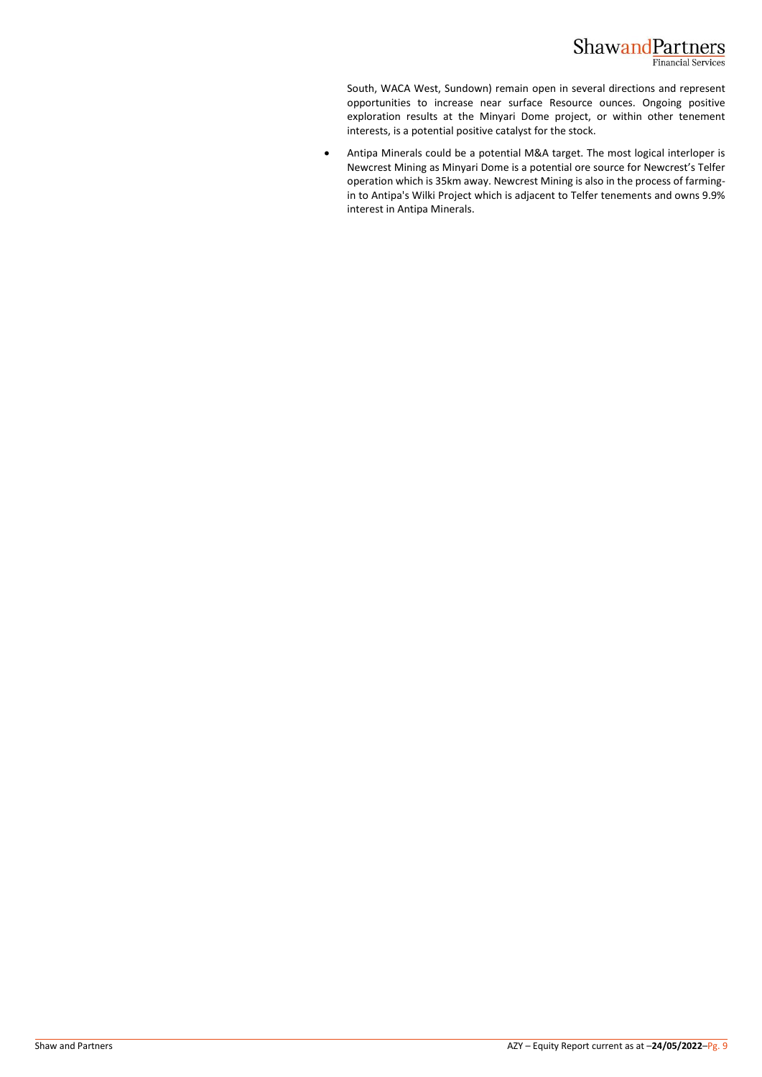

South, WACA West, Sundown) remain open in several directions and represent opportunities to increase near surface Resource ounces. Ongoing positive exploration results at the Minyari Dome project, or within other tenement interests, is a potential positive catalyst for the stock.

• Antipa Minerals could be a potential M&A target. The most logical interloper is Newcrest Mining as Minyari Dome is a potential ore source for Newcrest's Telfer operation which is 35km away. Newcrest Mining is also in the process of farmingin to Antipa's Wilki Project which is adjacent to Telfer tenements and owns 9.9% interest in Antipa Minerals.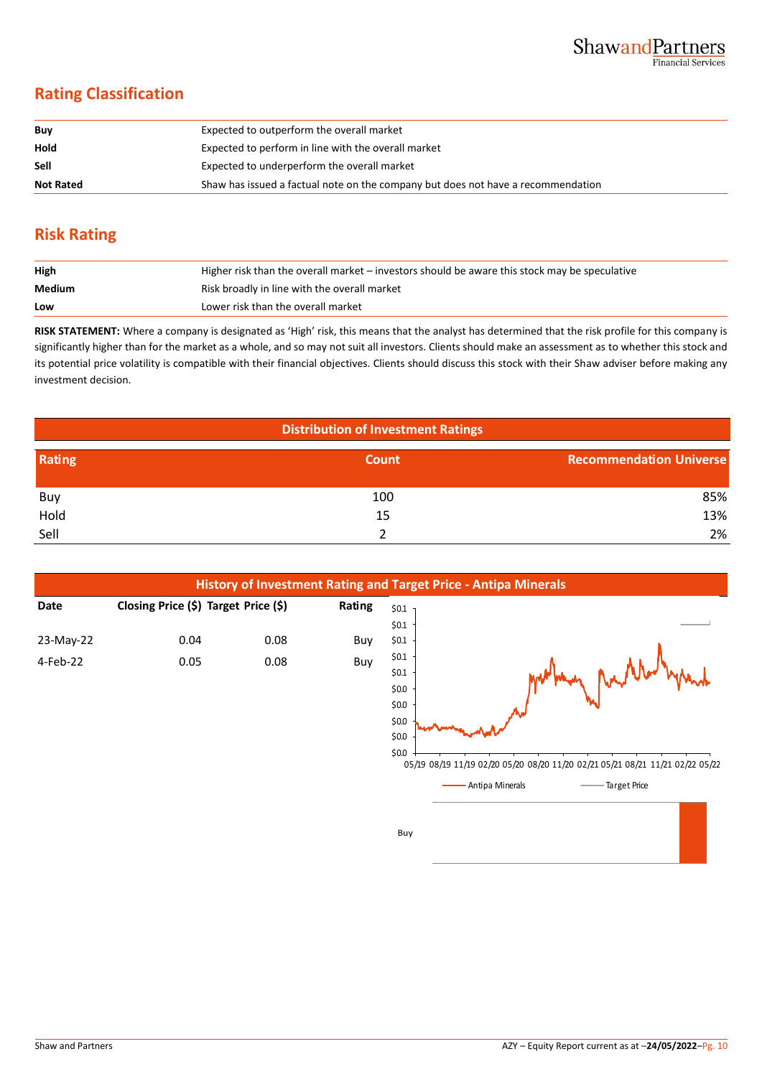# **Rating Classification**

| Buy              | Expected to outperform the overall market                                        |
|------------------|----------------------------------------------------------------------------------|
| Hold             | Expected to perform in line with the overall market                              |
| <b>Sell</b>      | Expected to underperform the overall market                                      |
| <b>Not Rated</b> | Shaw has issued a factual note on the company but does not have a recommendation |

# **Risk Rating**

| High   | Higher risk than the overall market – investors should be aware this stock may be speculative |
|--------|-----------------------------------------------------------------------------------------------|
| Medium | Risk broadly in line with the overall market                                                  |
| Low    | Lower risk than the overall market                                                            |

**RISK STATEMENT:** Where a company is designated as 'High' risk, this means that the analyst has determined that the risk profile for this company is significantly higher than for the market as a whole, and so may not suit all investors. Clients should make an assessment as to whether this stock and its potential price volatility is compatible with their financial objectives. Clients should discuss this stock with their Shaw adviser before making any investment decision.

| <b>Distribution of Investment Ratings</b> |              |                                |  |  |  |  |
|-------------------------------------------|--------------|--------------------------------|--|--|--|--|
| Rating                                    | <b>Count</b> | <b>Recommendation Universe</b> |  |  |  |  |
| Buy                                       | 100          | 85%                            |  |  |  |  |
| Hold                                      | 15           | 13%                            |  |  |  |  |
| Sell                                      |              | 2%                             |  |  |  |  |



Buy